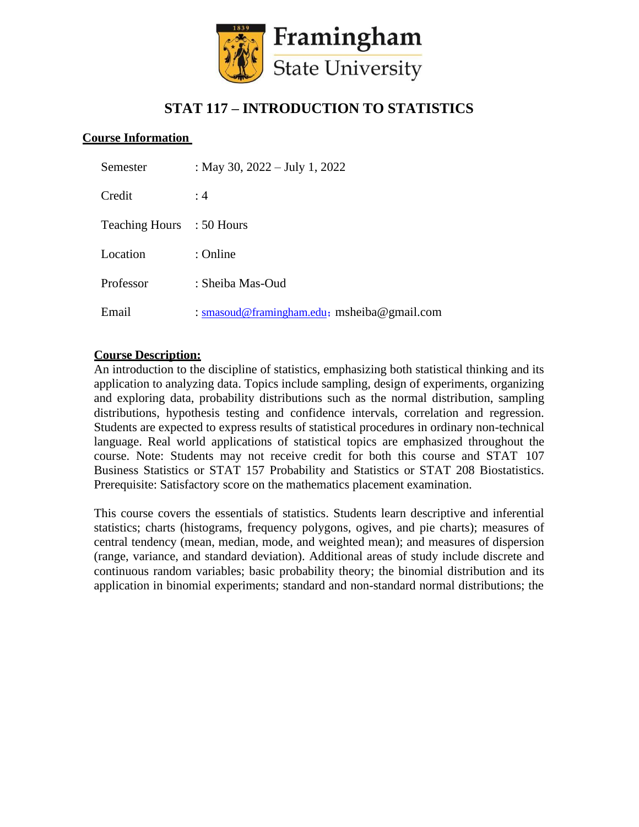

# **STAT 117 – INTRODUCTION TO STATISTICS**

#### **Course Information**

| Semester                  | : May 30, $2022 - July 1, 2022$             |
|---------------------------|---------------------------------------------|
| Credit                    | :4                                          |
| Teaching Hours : 50 Hours |                                             |
| Location                  | : Online                                    |
| Professor                 | : Sheiba Mas-Oud                            |
| Email                     | : smasoud@framingham.edu; msheiba@gmail.com |

#### **Course Description:**

An introduction to the discipline of statistics, emphasizing both statistical thinking and its application to analyzing data. Topics include sampling, design of experiments, organizing and exploring data, probability distributions such as the normal distribution, sampling distributions, hypothesis testing and confidence intervals, correlation and regression. Students are expected to express results of statistical procedures in ordinary non-technical language. Real world applications of statistical topics are emphasized throughout the course. Note: Students may not receive credit for both this course and STAT 107 Business Statistics or STAT 157 Probability and Statistics or STAT 208 Biostatistics. Prerequisite: Satisfactory score on the mathematics placement examination.

This course covers the essentials of statistics. Students learn descriptive and inferential statistics; charts (histograms, frequency polygons, ogives, and pie charts); measures of central tendency (mean, median, mode, and weighted mean); and measures of dispersion (range, variance, and standard deviation). Additional areas of study include discrete and continuous random variables; basic probability theory; the binomial distribution and its application in binomial experiments; standard and non-standard normal distributions; the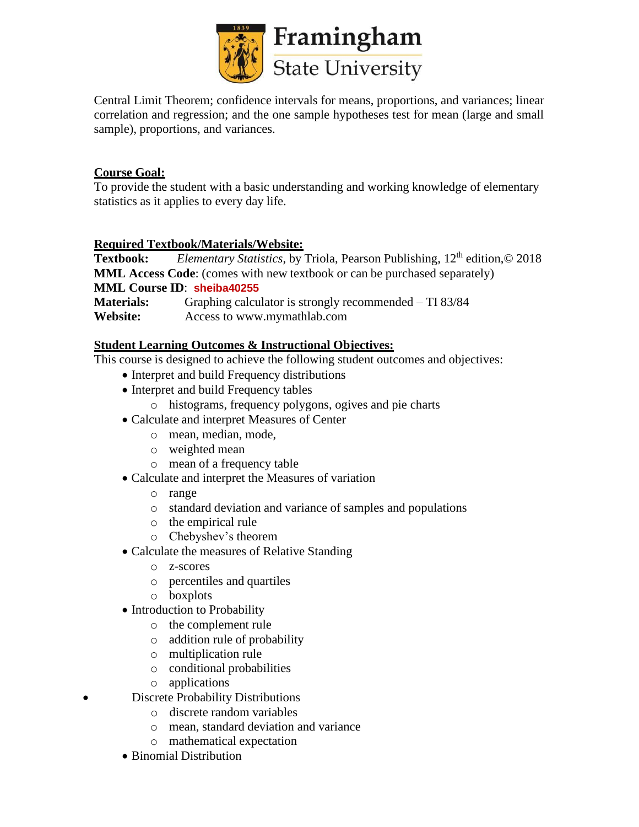

Central Limit Theorem; confidence intervals for means, proportions, and variances; linear correlation and regression; and the one sample hypotheses test for mean (large and small sample), proportions, and variances.

# **Course Goal:**

To provide the student with a basic understanding and working knowledge of elementary statistics as it applies to every day life.

## **Required Textbook/Materials/Website:**

**Textbook:** *Elementary Statistics*, by Triola, Pearson Publishing, 12<sup>th</sup> edition,© 2018 **MML Access Code**: (comes with new textbook or can be purchased separately) **MML Course ID**: **sheiba40255 Materials:** Graphing calculator is strongly recommended – TI 83/84 **Website:** Access to [www.mymathlab.com](http://www.mymathlab.com/)

## **Student Learning Outcomes & Instructional Objectives:**

This course is designed to achieve the following student outcomes and objectives:

- Interpret and build Frequency distributions
- Interpret and build Frequency tables
	- o histograms, frequency polygons, ogives and pie charts
- Calculate and interpret Measures of Center
	- o mean, median, mode,
	- o weighted mean
	- o mean of a frequency table
- Calculate and interpret the Measures of variation
	- o range
	- o standard deviation and variance of samples and populations
	- o the empirical rule
	- o Chebyshev's theorem
- Calculate the measures of Relative Standing
	- o z-scores
	- o percentiles and quartiles
	- o boxplots
- Introduction to Probability
	- o the complement rule
	- o addition rule of probability
	- o multiplication rule
	- o conditional probabilities
	- o applications
- Discrete Probability Distributions
	- o discrete random variables
	- o mean, standard deviation and variance
	- o mathematical expectation
	- Binomial Distribution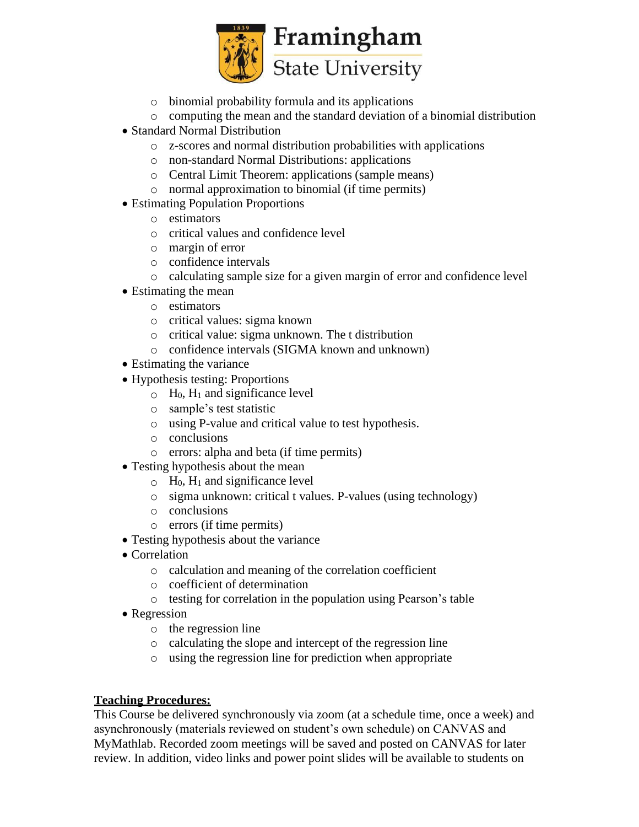

- o binomial probability formula and its applications
- o computing the mean and the standard deviation of a binomial distribution
- Standard Normal Distribution
	- o z-scores and normal distribution probabilities with applications
	- o non-standard Normal Distributions: applications
	- o Central Limit Theorem: applications (sample means)
	- o normal approximation to binomial (if time permits)
- Estimating Population Proportions
	- o estimators
	- o critical values and confidence level
	- o margin of error
	- o confidence intervals
	- o calculating sample size for a given margin of error and confidence level
- Estimating the mean
	- o estimators
	- o critical values: sigma known
	- o critical value: sigma unknown. The t distribution
	- o confidence intervals (SIGMA known and unknown)
- Estimating the variance
- Hypothesis testing: Proportions
	- $\circ$  H<sub>0</sub>, H<sub>1</sub> and significance level
		- o sample's test statistic
		- o using P-value and critical value to test hypothesis.
		- o conclusions
		- o errors: alpha and beta (if time permits)
- Testing hypothesis about the mean
	- $\circ$  H<sub>0</sub>, H<sub>1</sub> and significance level
	- o sigma unknown: critical t values. P-values (using technology)
	- o conclusions
	- o errors (if time permits)
- Testing hypothesis about the variance
- Correlation
	- o calculation and meaning of the correlation coefficient
	- o coefficient of determination
	- o testing for correlation in the population using Pearson's table
- Regression
	- o the regression line
	- o calculating the slope and intercept of the regression line
	- o using the regression line for prediction when appropriate

## **Teaching Procedures:**

This Course be delivered synchronously via zoom (at a schedule time, once a week) and asynchronously (materials reviewed on student's own schedule) on CANVAS and MyMathlab. Recorded zoom meetings will be saved and posted on CANVAS for later review. In addition, video links and power point slides will be available to students on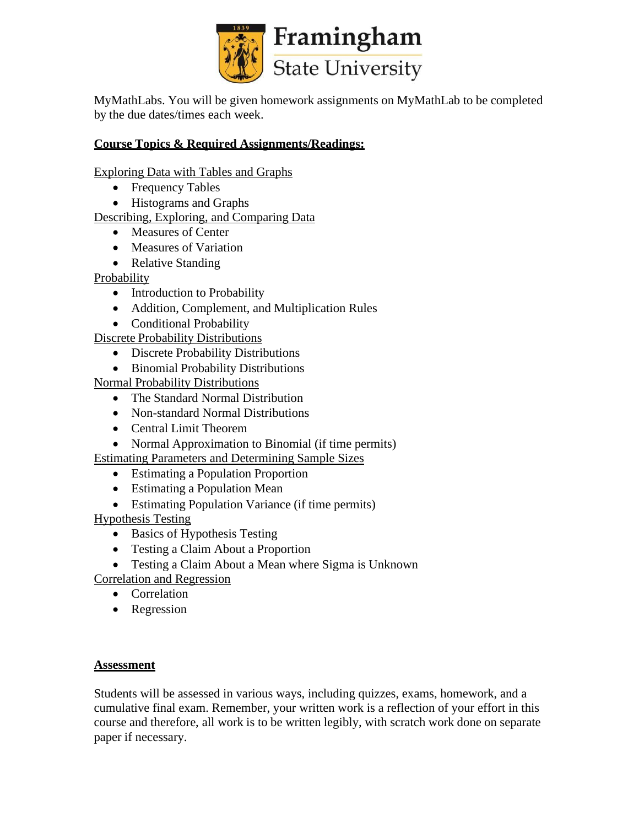

MyMathLabs. You will be given homework assignments on MyMathLab to be completed by the due dates/times each week.

# **Course Topics & Required Assignments/Readings:**

Exploring Data with Tables and Graphs

- Frequency Tables
- Histograms and Graphs

# Describing, Exploring, and Comparing Data

- Measures of Center
- Measures of Variation
- Relative Standing

Probability

- Introduction to Probability
- Addition, Complement, and Multiplication Rules
- Conditional Probability

Discrete Probability Distributions

- Discrete Probability Distributions
- Binomial Probability Distributions

Normal Probability Distributions

- The Standard Normal Distribution
- Non-standard Normal Distributions
- Central Limit Theorem
- Normal Approximation to Binomial (if time permits)

Estimating Parameters and Determining Sample Sizes

- Estimating a Population Proportion
- Estimating a Population Mean
- Estimating Population Variance (if time permits)

Hypothesis Testing

- Basics of Hypothesis Testing
- Testing a Claim About a Proportion
- Testing a Claim About a Mean where Sigma is Unknown

Correlation and Regression

- Correlation
- Regression

## **Assessment**

Students will be assessed in various ways, including quizzes, exams, homework, and a cumulative final exam. Remember, your written work is a reflection of your effort in this course and therefore, all work is to be written legibly, with scratch work done on separate paper if necessary.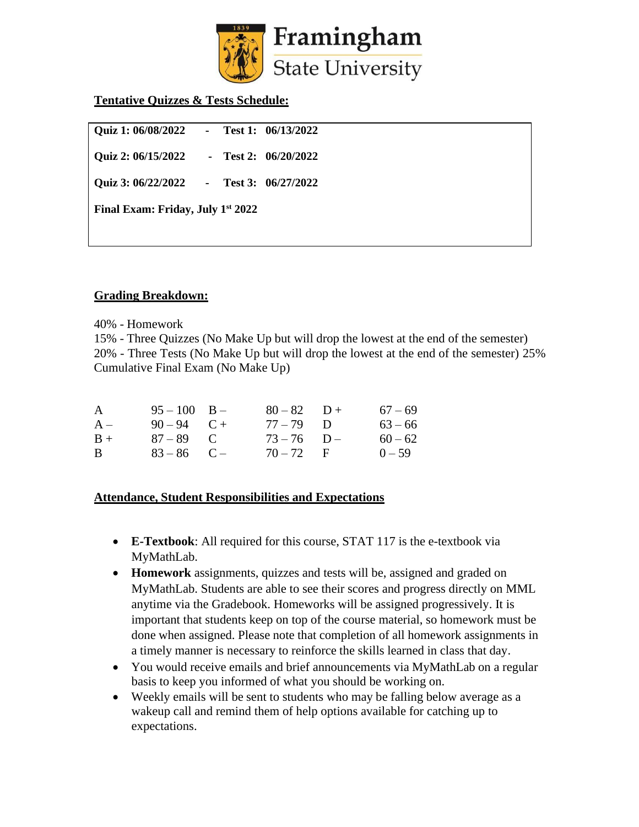

#### **Tentative Quizzes & Tests Schedule:**

| <b>Quiz 1: 06/08/2022</b>                     | $\sim$ 10 $\pm$ |  | Test 1: 06/13/2022     |  |  |  |  |
|-----------------------------------------------|-----------------|--|------------------------|--|--|--|--|
| Quiz 2: 06/15/2022                            |                 |  | - Test 2: $06/20/2022$ |  |  |  |  |
| Quiz 3: 06/22/2022                            |                 |  | - Test 3: $06/27/2022$ |  |  |  |  |
| Final Exam: Friday, July 1 <sup>st</sup> 2022 |                 |  |                        |  |  |  |  |
|                                               |                 |  |                        |  |  |  |  |

#### **Grading Breakdown:**

40% - Homework

15% - Three Quizzes (No Make Up but will drop the lowest at the end of the semester) 20% - Three Tests (No Make Up but will drop the lowest at the end of the semester) 25% Cumulative Final Exam (No Make Up)

|  |                                                                 | $67 - 69$                                                   |
|--|-----------------------------------------------------------------|-------------------------------------------------------------|
|  |                                                                 | $63 - 66$                                                   |
|  |                                                                 | $60 - 62$                                                   |
|  |                                                                 | $0 - 59$                                                    |
|  | $95 - 100$ B -<br>$90 - 94$ C +<br>$87 - 89$ C<br>$83 - 86$ C – | $80 - 82$ D +<br>$77 - 79$ D<br>$73 - 76$ D-<br>$70 - 72$ F |

#### **Attendance, Student Responsibilities and Expectations**

- **E-Textbook**: All required for this course, STAT 117 is the e-textbook via MyMathLab.
- **Homework** assignments, quizzes and tests will be, assigned and graded on MyMathLab. Students are able to see their scores and progress directly on MML anytime via the Gradebook. Homeworks will be assigned progressively. It is important that students keep on top of the course material, so homework must be done when assigned. Please note that completion of all homework assignments in a timely manner is necessary to reinforce the skills learned in class that day.
- You would receive emails and brief announcements via MyMathLab on a regular basis to keep you informed of what you should be working on.
- Weekly emails will be sent to students who may be falling below average as a wakeup call and remind them of help options available for catching up to expectations.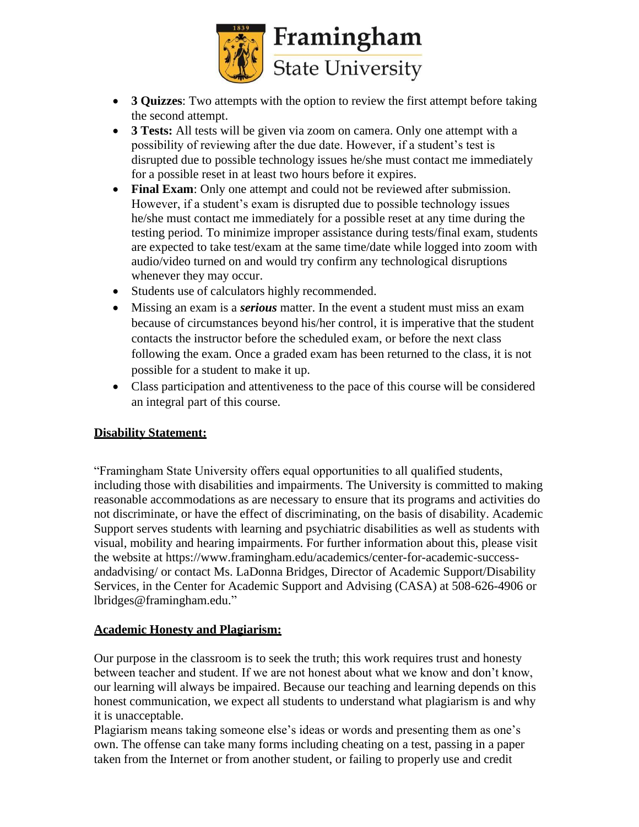

- **3 Quizzes**: Two attempts with the option to review the first attempt before taking the second attempt.
- **3 Tests:** All tests will be given via zoom on camera. Only one attempt with a possibility of reviewing after the due date. However, if a student's test is disrupted due to possible technology issues he/she must contact me immediately for a possible reset in at least two hours before it expires.
- **Final Exam**: Only one attempt and could not be reviewed after submission. However, if a student's exam is disrupted due to possible technology issues he/she must contact me immediately for a possible reset at any time during the testing period. To minimize improper assistance during tests/final exam, students are expected to take test/exam at the same time/date while logged into zoom with audio/video turned on and would try confirm any technological disruptions whenever they may occur.
- Students use of calculators highly recommended.
- Missing an exam is a *serious* matter. In the event a student must miss an exam because of circumstances beyond his/her control, it is imperative that the student contacts the instructor before the scheduled exam, or before the next class following the exam. Once a graded exam has been returned to the class, it is not possible for a student to make it up.
- Class participation and attentiveness to the pace of this course will be considered an integral part of this course.

## **Disability Statement:**

"Framingham State University offers equal opportunities to all qualified students, including those with disabilities and impairments. The University is committed to making reasonable accommodations as are necessary to ensure that its programs and activities do not discriminate, or have the effect of discriminating, on the basis of disability. Academic Support serves students with learning and psychiatric disabilities as well as students with visual, mobility and hearing impairments. For further information about this, please visit the website at https:/[/www.framingham.edu/academics/center-for-academic-success](http://www.framingham.edu/academics/center-for-academic-success-)andadvising/ or contact Ms. LaDonna Bridges, Director of Academic Support/Disability Services, in the Center for Academic Support and Advising (CASA) at 508-626-4906 or [lbridges@framingham.edu."](mailto:lbridges@framingham.edu)

## **Academic Honesty and Plagiarism:**

Our purpose in the classroom is to seek the truth; this work requires trust and honesty between teacher and student. If we are not honest about what we know and don't know, our learning will always be impaired. Because our teaching and learning depends on this honest communication, we expect all students to understand what plagiarism is and why it is unacceptable.

Plagiarism means taking someone else's ideas or words and presenting them as one's own. The offense can take many forms including cheating on a test, passing in a paper taken from the Internet or from another student, or failing to properly use and credit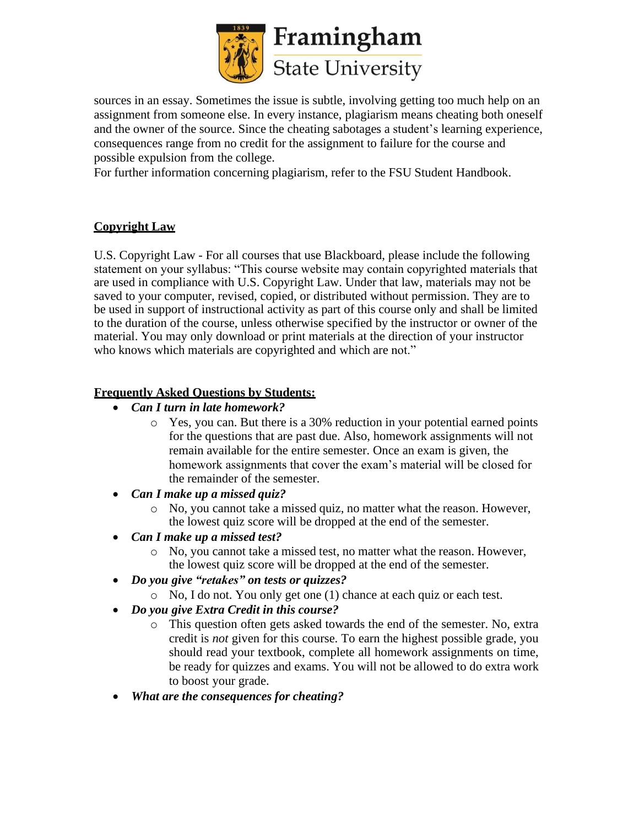

sources in an essay. Sometimes the issue is subtle, involving getting too much help on an assignment from someone else. In every instance, plagiarism means cheating both oneself and the owner of the source. Since the cheating sabotages a student's learning experience, consequences range from no credit for the assignment to failure for the course and possible expulsion from the college.

For further information concerning plagiarism, refer to the FSU Student Handbook.

# **Copyright Law**

U.S. Copyright Law - For all courses that use Blackboard, please include the following statement on your syllabus: "This course website may contain copyrighted materials that are used in compliance with U.S. Copyright Law. Under that law, materials may not be saved to your computer, revised, copied, or distributed without permission. They are to be used in support of instructional activity as part of this course only and shall be limited to the duration of the course, unless otherwise specified by the instructor or owner of the material. You may only download or print materials at the direction of your instructor who knows which materials are copyrighted and which are not."

# **Frequently Asked Questions by Students:**

- *Can I turn in late homework?*
	- o Yes, you can. But there is a 30% reduction in your potential earned points for the questions that are past due. Also, homework assignments will not remain available for the entire semester. Once an exam is given, the homework assignments that cover the exam's material will be closed for the remainder of the semester.
- *Can I make up a missed quiz?*
	- o No, you cannot take a missed quiz, no matter what the reason. However, the lowest quiz score will be dropped at the end of the semester.
- *Can I make up a missed test?*
	- o No, you cannot take a missed test, no matter what the reason. However, the lowest quiz score will be dropped at the end of the semester.
- *Do you give "retakes" on tests or quizzes?*
	- o No, I do not. You only get one (1) chance at each quiz or each test.
- *Do you give Extra Credit in this course?*
	- o This question often gets asked towards the end of the semester. No, extra credit is *not* given for this course. To earn the highest possible grade, you should read your textbook, complete all homework assignments on time, be ready for quizzes and exams. You will not be allowed to do extra work to boost your grade.
- *What are the consequences for cheating?*